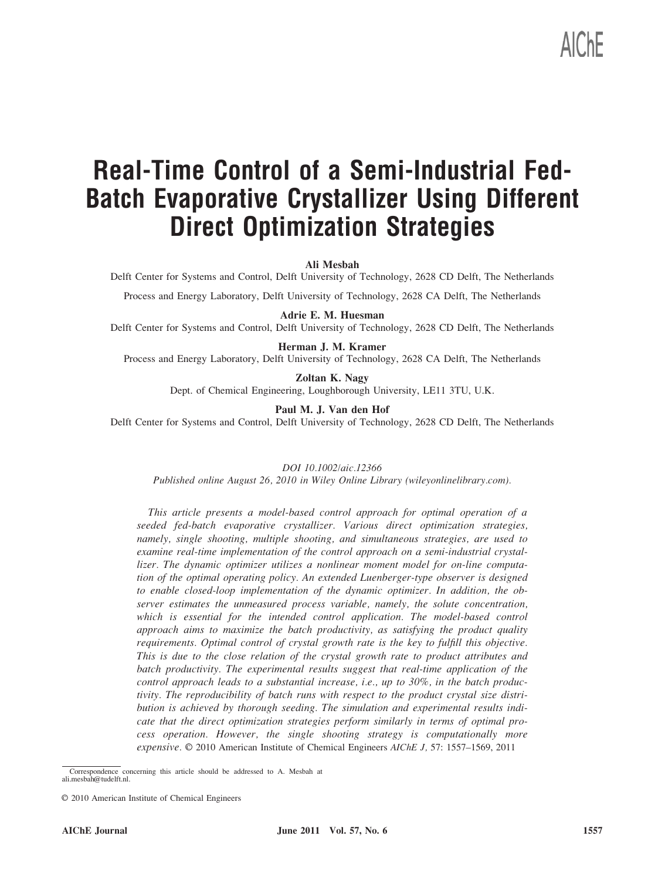# Real-Time Control of a Semi-Industrial Fed-Batch Evaporative Crystallizer Using Different Direct Optimization Strategies

Ali Mesbah

Delft Center for Systems and Control, Delft University of Technology, 2628 CD Delft, The Netherlands

Process and Energy Laboratory, Delft University of Technology, 2628 CA Delft, The Netherlands

# Adrie E. M. Huesman

Delft Center for Systems and Control, Delft University of Technology, 2628 CD Delft, The Netherlands

## Herman J. M. Kramer

Process and Energy Laboratory, Delft University of Technology, 2628 CA Delft, The Netherlands

Zoltan K. Nagy

Dept. of Chemical Engineering, Loughborough University, LE11 3TU, U.K.

# Paul M. J. Van den Hof

Delft Center for Systems and Control, Delft University of Technology, 2628 CD Delft, The Netherlands

DOI 10.1002/aic.12366 Published online August 26, 2010 in Wiley Online Library (wileyonlinelibrary.com).

This article presents a model-based control approach for optimal operation of a seeded fed-batch evaporative crystallizer. Various direct optimization strategies, namely, single shooting, multiple shooting, and simultaneous strategies, are used to examine real-time implementation of the control approach on a semi-industrial crystallizer. The dynamic optimizer utilizes a nonlinear moment model for on-line computation of the optimal operating policy. An extended Luenberger-type observer is designed to enable closed-loop implementation of the dynamic optimizer. In addition, the observer estimates the unmeasured process variable, namely, the solute concentration, which is essential for the intended control application. The model-based control approach aims to maximize the batch productivity, as satisfying the product quality requirements. Optimal control of crystal growth rate is the key to fulfill this objective. This is due to the close relation of the crystal growth rate to product attributes and batch productivity. The experimental results suggest that real-time application of the control approach leads to a substantial increase, i.e., up to 30%, in the batch productivity. The reproducibility of batch runs with respect to the product crystal size distribution is achieved by thorough seeding. The simulation and experimental results indicate that the direct optimization strategies perform similarly in terms of optimal process operation. However, the single shooting strategy is computationally more expensive.  $\odot$  2010 American Institute of Chemical Engineers AIChE J, 57: 1557–1569, 2011

Correspondence concerning this article should be addressed to A. Mesbah at ali.mesbah@tudelft.nl.

 $\odot$  2010 American Institute of Chemical Engineers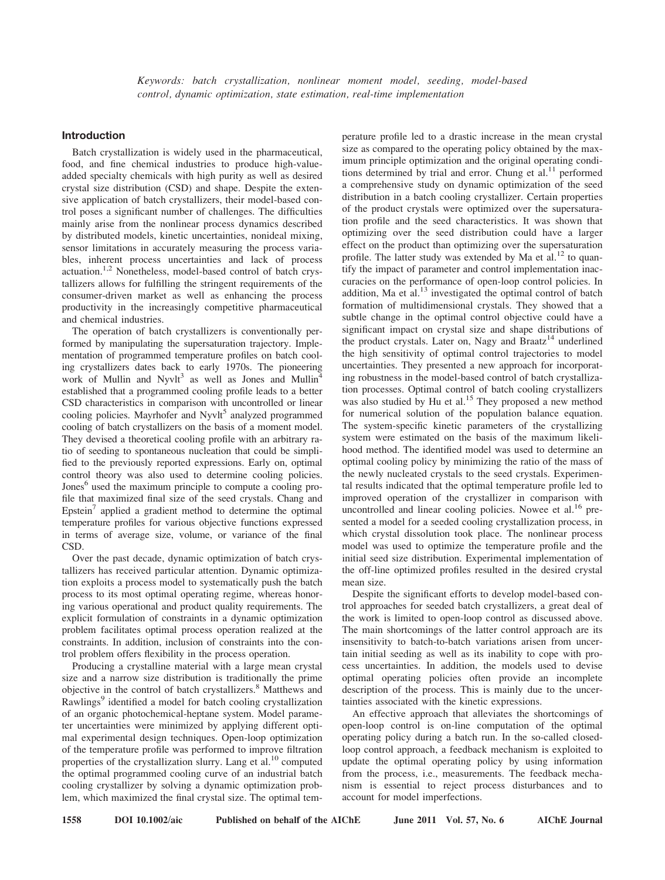Keywords: batch crystallization, nonlinear moment model, seeding, model-based control, dynamic optimization, state estimation, real-time implementation

### Introduction

Batch crystallization is widely used in the pharmaceutical, food, and fine chemical industries to produce high-valueadded specialty chemicals with high purity as well as desired crystal size distribution (CSD) and shape. Despite the extensive application of batch crystallizers, their model-based control poses a significant number of challenges. The difficulties mainly arise from the nonlinear process dynamics described by distributed models, kinetic uncertainties, nonideal mixing, sensor limitations in accurately measuring the process variables, inherent process uncertainties and lack of process actuation.<sup>1,2</sup> Nonetheless, model-based control of batch crystallizers allows for fulfilling the stringent requirements of the consumer-driven market as well as enhancing the process productivity in the increasingly competitive pharmaceutical and chemical industries.

The operation of batch crystallizers is conventionally performed by manipulating the supersaturation trajectory. Implementation of programmed temperature profiles on batch cooling crystallizers dates back to early 1970s. The pioneering work of Mullin and Nyvlt<sup>3</sup> as well as Jones and Mullin<sup>4</sup> established that a programmed cooling profile leads to a better CSD characteristics in comparison with uncontrolled or linear cooling policies. Mayrhofer and Nyvl $t^5$  analyzed programmed cooling of batch crystallizers on the basis of a moment model. They devised a theoretical cooling profile with an arbitrary ratio of seeding to spontaneous nucleation that could be simplified to the previously reported expressions. Early on, optimal control theory was also used to determine cooling policies. Jones<sup>6</sup> used the maximum principle to compute a cooling profile that maximized final size of the seed crystals. Chang and Epstein<sup> $\prime$ </sup> applied a gradient method to determine the optimal temperature profiles for various objective functions expressed in terms of average size, volume, or variance of the final CSD.

Over the past decade, dynamic optimization of batch crystallizers has received particular attention. Dynamic optimization exploits a process model to systematically push the batch process to its most optimal operating regime, whereas honoring various operational and product quality requirements. The explicit formulation of constraints in a dynamic optimization problem facilitates optimal process operation realized at the constraints. In addition, inclusion of constraints into the control problem offers flexibility in the process operation.

Producing a crystalline material with a large mean crystal size and a narrow size distribution is traditionally the prime objective in the control of batch crystallizers.<sup>8</sup> Matthews and Rawlings<sup>9</sup> identified a model for batch cooling crystallization of an organic photochemical-heptane system. Model parameter uncertainties were minimized by applying different optimal experimental design techniques. Open-loop optimization of the temperature profile was performed to improve filtration properties of the crystallization slurry. Lang et al.<sup>10</sup> computed the optimal programmed cooling curve of an industrial batch cooling crystallizer by solving a dynamic optimization problem, which maximized the final crystal size. The optimal tem-

perature profile led to a drastic increase in the mean crystal size as compared to the operating policy obtained by the maximum principle optimization and the original operating conditions determined by trial and error. Chung et al. $<sup>11</sup>$  performed</sup> a comprehensive study on dynamic optimization of the seed distribution in a batch cooling crystallizer. Certain properties of the product crystals were optimized over the supersaturation profile and the seed characteristics. It was shown that optimizing over the seed distribution could have a larger effect on the product than optimizing over the supersaturation profile. The latter study was extended by Ma et  $al.^{12}$  to quantify the impact of parameter and control implementation inaccuracies on the performance of open-loop control policies. In addition, Ma et al. $^{13}$  investigated the optimal control of batch formation of multidimensional crystals. They showed that a subtle change in the optimal control objective could have a significant impact on crystal size and shape distributions of the product crystals. Later on, Nagy and Braatz<sup>14</sup> underlined the high sensitivity of optimal control trajectories to model uncertainties. They presented a new approach for incorporating robustness in the model-based control of batch crystallization processes. Optimal control of batch cooling crystallizers was also studied by Hu et al.<sup>15</sup> They proposed a new method for numerical solution of the population balance equation. The system-specific kinetic parameters of the crystallizing system were estimated on the basis of the maximum likelihood method. The identified model was used to determine an optimal cooling policy by minimizing the ratio of the mass of the newly nucleated crystals to the seed crystals. Experimental results indicated that the optimal temperature profile led to improved operation of the crystallizer in comparison with uncontrolled and linear cooling policies. Nowee et al.<sup>16</sup> presented a model for a seeded cooling crystallization process, in which crystal dissolution took place. The nonlinear process model was used to optimize the temperature profile and the initial seed size distribution. Experimental implementation of the off-line optimized profiles resulted in the desired crystal mean size.

Despite the significant efforts to develop model-based control approaches for seeded batch crystallizers, a great deal of the work is limited to open-loop control as discussed above. The main shortcomings of the latter control approach are its insensitivity to batch-to-batch variations arisen from uncertain initial seeding as well as its inability to cope with process uncertainties. In addition, the models used to devise optimal operating policies often provide an incomplete description of the process. This is mainly due to the uncertainties associated with the kinetic expressions.

An effective approach that alleviates the shortcomings of open-loop control is on-line computation of the optimal operating policy during a batch run. In the so-called closedloop control approach, a feedback mechanism is exploited to update the optimal operating policy by using information from the process, i.e., measurements. The feedback mechanism is essential to reject process disturbances and to account for model imperfections.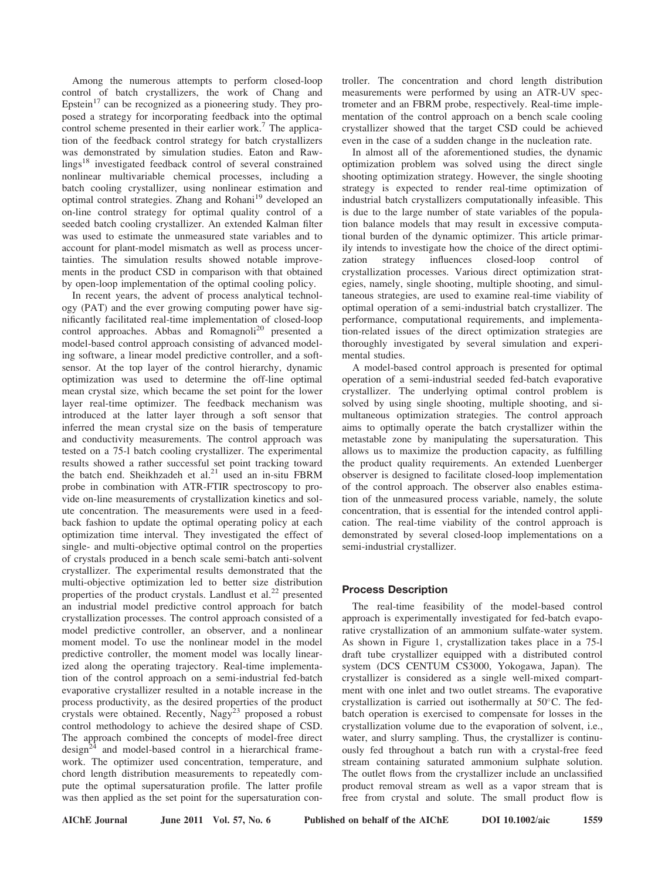Among the numerous attempts to perform closed-loop control of batch crystallizers, the work of Chang and Epstein $17$  can be recognized as a pioneering study. They proposed a strategy for incorporating feedback into the optimal control scheme presented in their earlier work.<sup>7</sup> The application of the feedback control strategy for batch crystallizers was demonstrated by simulation studies. Eaton and Rawlings<sup>18</sup> investigated feedback control of several constrained nonlinear multivariable chemical processes, including a batch cooling crystallizer, using nonlinear estimation and optimal control strategies. Zhang and Rohani<sup>19</sup> developed an on-line control strategy for optimal quality control of a seeded batch cooling crystallizer. An extended Kalman filter was used to estimate the unmeasured state variables and to account for plant-model mismatch as well as process uncertainties. The simulation results showed notable improvements in the product CSD in comparison with that obtained by open-loop implementation of the optimal cooling policy.

In recent years, the advent of process analytical technology (PAT) and the ever growing computing power have significantly facilitated real-time implementation of closed-loop control approaches. Abbas and Romagnoli<sup>20</sup> presented a model-based control approach consisting of advanced modeling software, a linear model predictive controller, and a softsensor. At the top layer of the control hierarchy, dynamic optimization was used to determine the off-line optimal mean crystal size, which became the set point for the lower layer real-time optimizer. The feedback mechanism was introduced at the latter layer through a soft sensor that inferred the mean crystal size on the basis of temperature and conductivity measurements. The control approach was tested on a 75-l batch cooling crystallizer. The experimental results showed a rather successful set point tracking toward the batch end. Sheikhzadeh et al.<sup>21</sup> used an in-situ FBRM probe in combination with ATR-FTIR spectroscopy to provide on-line measurements of crystallization kinetics and solute concentration. The measurements were used in a feedback fashion to update the optimal operating policy at each optimization time interval. They investigated the effect of single- and multi-objective optimal control on the properties of crystals produced in a bench scale semi-batch anti-solvent crystallizer. The experimental results demonstrated that the multi-objective optimization led to better size distribution properties of the product crystals. Landlust et al.<sup>22</sup> presented an industrial model predictive control approach for batch crystallization processes. The control approach consisted of a model predictive controller, an observer, and a nonlinear moment model. To use the nonlinear model in the model predictive controller, the moment model was locally linearized along the operating trajectory. Real-time implementation of the control approach on a semi-industrial fed-batch evaporative crystallizer resulted in a notable increase in the process productivity, as the desired properties of the product crystals were obtained. Recently, Nagy<sup>23</sup> proposed a robust control methodology to achieve the desired shape of CSD. The approach combined the concepts of model-free direct  $\text{design}^{24}$  and model-based control in a hierarchical framework. The optimizer used concentration, temperature, and chord length distribution measurements to repeatedly compute the optimal supersaturation profile. The latter profile was then applied as the set point for the supersaturation controller. The concentration and chord length distribution measurements were performed by using an ATR-UV spectrometer and an FBRM probe, respectively. Real-time implementation of the control approach on a bench scale cooling crystallizer showed that the target CSD could be achieved even in the case of a sudden change in the nucleation rate.

In almost all of the aforementioned studies, the dynamic optimization problem was solved using the direct single shooting optimization strategy. However, the single shooting strategy is expected to render real-time optimization of industrial batch crystallizers computationally infeasible. This is due to the large number of state variables of the population balance models that may result in excessive computational burden of the dynamic optimizer. This article primarily intends to investigate how the choice of the direct optimization strategy influences closed-loop control of crystallization processes. Various direct optimization strategies, namely, single shooting, multiple shooting, and simultaneous strategies, are used to examine real-time viability of optimal operation of a semi-industrial batch crystallizer. The performance, computational requirements, and implementation-related issues of the direct optimization strategies are thoroughly investigated by several simulation and experimental studies.

A model-based control approach is presented for optimal operation of a semi-industrial seeded fed-batch evaporative crystallizer. The underlying optimal control problem is solved by using single shooting, multiple shooting, and simultaneous optimization strategies. The control approach aims to optimally operate the batch crystallizer within the metastable zone by manipulating the supersaturation. This allows us to maximize the production capacity, as fulfilling the product quality requirements. An extended Luenberger observer is designed to facilitate closed-loop implementation of the control approach. The observer also enables estimation of the unmeasured process variable, namely, the solute concentration, that is essential for the intended control application. The real-time viability of the control approach is demonstrated by several closed-loop implementations on a semi-industrial crystallizer.

# Process Description

The real-time feasibility of the model-based control approach is experimentally investigated for fed-batch evaporative crystallization of an ammonium sulfate-water system. As shown in Figure 1, crystallization takes place in a 75-l draft tube crystallizer equipped with a distributed control system (DCS CENTUM CS3000, Yokogawa, Japan). The crystallizer is considered as a single well-mixed compartment with one inlet and two outlet streams. The evaporative crystallization is carried out isothermally at  $50^{\circ}$ C. The fedbatch operation is exercised to compensate for losses in the crystallization volume due to the evaporation of solvent, i.e., water, and slurry sampling. Thus, the crystallizer is continuously fed throughout a batch run with a crystal-free feed stream containing saturated ammonium sulphate solution. The outlet flows from the crystallizer include an unclassified product removal stream as well as a vapor stream that is free from crystal and solute. The small product flow is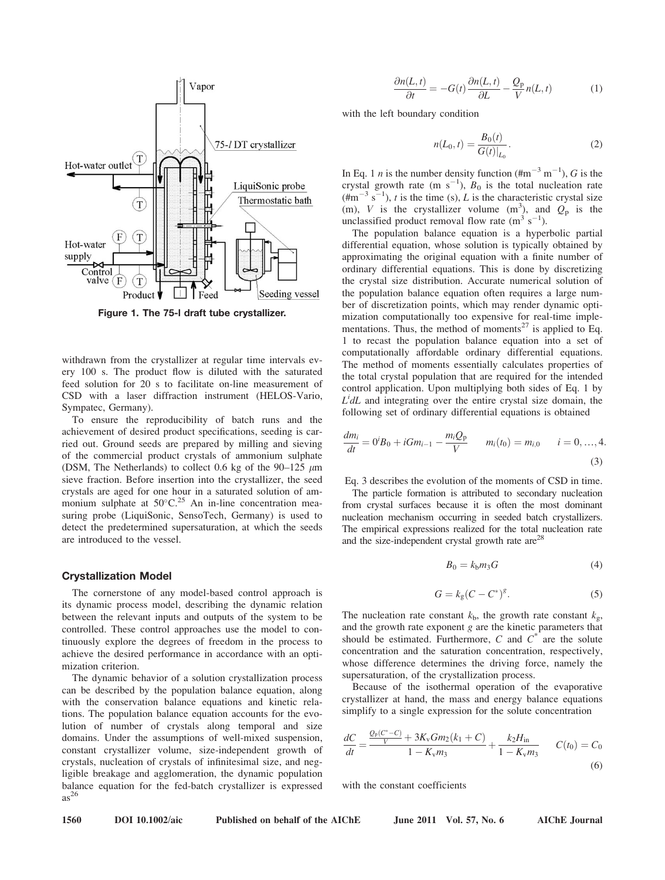

Figure 1. The 75-l draft tube crystallizer.

withdrawn from the crystallizer at regular time intervals every 100 s. The product flow is diluted with the saturated feed solution for 20 s to facilitate on-line measurement of CSD with a laser diffraction instrument (HELOS-Vario, Sympatec, Germany).

To ensure the reproducibility of batch runs and the achievement of desired product specifications, seeding is carried out. Ground seeds are prepared by milling and sieving of the commercial product crystals of ammonium sulphate (DSM, The Netherlands) to collect 0.6 kg of the  $90-125 \mu m$ sieve fraction. Before insertion into the crystallizer, the seed crystals are aged for one hour in a saturated solution of ammonium sulphate at  $50^{\circ}$ C.<sup>25</sup> An in-line concentration measuring probe (LiquiSonic, SensoTech, Germany) is used to detect the predetermined supersaturation, at which the seeds are introduced to the vessel.

#### Crystallization Model

The cornerstone of any model-based control approach is its dynamic process model, describing the dynamic relation between the relevant inputs and outputs of the system to be controlled. These control approaches use the model to continuously explore the degrees of freedom in the process to achieve the desired performance in accordance with an optimization criterion.

The dynamic behavior of a solution crystallization process can be described by the population balance equation, along with the conservation balance equations and kinetic relations. The population balance equation accounts for the evolution of number of crystals along temporal and size domains. Under the assumptions of well-mixed suspension, constant crystallizer volume, size-independent growth of crystals, nucleation of crystals of infinitesimal size, and negligible breakage and agglomeration, the dynamic population balance equation for the fed-batch crystallizer is expressed  $as^{26}$ 

$$
\frac{\partial n(L,t)}{\partial t} = -G(t)\frac{\partial n(L,t)}{\partial L} - \frac{Q_{\rm p}}{V}n(L,t)
$$
 (1)

with the left boundary condition

$$
n(L_0, t) = \frac{B_0(t)}{G(t)|_{L_0}}.\t(2)
$$

In Eq. 1 *n* is the number density function  $(\text{#m}^{-3} \text{ m}^{-1})$ , *G* is the crystal growth rate (m  $s^{-1}$ ),  $B_0$  is the total nucleation rate  $(\text{Hm}^{-3} \text{ s}^{-1})$ , t is the time (s), L is the characteristic crystal size (m), V is the crystallizer volume  $(m^3)$ , and  $Q_p$  is the unclassified product removal flow rate  $(m^3 s^{-1})$ .

The population balance equation is a hyperbolic partial differential equation, whose solution is typically obtained by approximating the original equation with a finite number of ordinary differential equations. This is done by discretizing the crystal size distribution. Accurate numerical solution of the population balance equation often requires a large number of discretization points, which may render dynamic optimization computationally too expensive for real-time implementations. Thus, the method of moments<sup>27</sup> is applied to Eq. 1 to recast the population balance equation into a set of computationally affordable ordinary differential equations. The method of moments essentially calculates properties of the total crystal population that are required for the intended control application. Upon multiplying both sides of Eq. 1 by  $L^i$ dL and integrating over the entire crystal size domain, the following set of ordinary differential equations is obtained

$$
\frac{dm_i}{dt} = 0^i B_0 + iGm_{i-1} - \frac{m_i Q_p}{V} \qquad m_i(t_0) = m_{i,0} \qquad i = 0, ..., 4.
$$
\n(3)

Eq. 3 describes the evolution of the moments of CSD in time.

The particle formation is attributed to secondary nucleation from crystal surfaces because it is often the most dominant nucleation mechanism occurring in seeded batch crystallizers. The empirical expressions realized for the total nucleation rate and the size-independent crystal growth rate  $are^{28}$ 

$$
B_0 = k_b m_3 G \tag{4}
$$

$$
G = kg(C - C*)g.
$$
 (5)

The nucleation rate constant  $k<sub>b</sub>$ , the growth rate constant  $k<sub>g</sub>$ , and the growth rate exponent  $g$  are the kinetic parameters that should be estimated. Furthermore, C and  $C^*$  are the solute concentration and the saturation concentration, respectively, whose difference determines the driving force, namely the supersaturation, of the crystallization process.

Because of the isothermal operation of the evaporative crystallizer at hand, the mass and energy balance equations simplify to a single expression for the solute concentration

$$
\frac{dC}{dt} = \frac{\frac{Q_p(C^* - C)}{V} + 3K_v Gm_2(k_1 + C)}{1 - K_v m_3} + \frac{k_2 H_{\text{in}}}{1 - K_v m_3} \qquad C(t_0) = C_0
$$
\n(6)

with the constant coefficients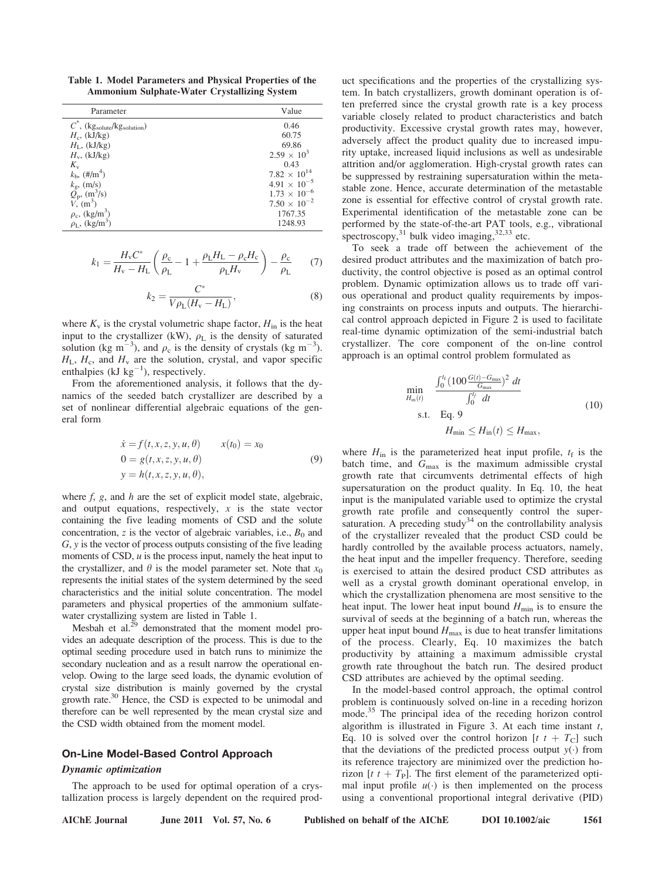Table 1. Model Parameters and Physical Properties of the Ammonium Sulphate-Water Crystallizing System

| Parameter                                     | Value                 |
|-----------------------------------------------|-----------------------|
| $\boldsymbol{C}^*$ , (kgsolute/kgsolution)    | 0.46                  |
| $H_c$ , (kJ/kg)                               | 60.75                 |
| $HL$ , (kJ/kg)                                | 69.86                 |
| $H_v$ , (kJ/kg)                               | $2.59 \times 10^{3}$  |
| $K_{\rm v}$                                   | 0.43                  |
| $k_{\rm b}$ , $(\frac{\text{H}}{\text{m}^4})$ | $7.82 \times 10^{14}$ |
| $k_{\rm g}$ , (m/s)                           | $4.91 \times 10^{-5}$ |
| $Q_p$ , $(m^3/s)$                             | $1.73 \times 10^{-6}$ |
| $V, (m^3)$                                    | $7.50 \times 10^{-2}$ |
| $\rho_c$ , (kg/m <sup>3</sup> )               | 1767.35               |
| $\rho_L$ , (kg/m <sup>3</sup> )               | 1248.93               |

$$
k_1 = \frac{H_v C^*}{H_v - H_L} \left( \frac{\rho_c}{\rho_L} - 1 + \frac{\rho_L H_L - \rho_c H_c}{\rho_L H_v} \right) - \frac{\rho_c}{\rho_L} \tag{7}
$$

$$
k_2 = \frac{C^*}{V \rho_L (H_v - H_L)},
$$
\n(8)

where  $K_v$  is the crystal volumetric shape factor,  $H_{in}$  is the heat input to the crystallizer (kW),  $\rho_L$  is the density of saturated solution (kg m<sup>-3</sup>), and  $\rho_c$  is the density of crystals (kg m<sup>-3</sup>).  $H_L$ ,  $H_c$ , and  $H_v$  are the solution, crystal, and vapor specific enthalpies ( $kJ$   $kg^{-1}$ ), respectively.

From the aforementioned analysis, it follows that the dynamics of the seeded batch crystallizer are described by a set of nonlinear differential algebraic equations of the general form

$$
\begin{aligned}\n\dot{x} &= f(t, x, z, y, u, \theta) & x(t_0) &= x_0 \\
0 &= g(t, x, z, y, u, \theta) \\
y &= h(t, x, z, y, u, \theta),\n\end{aligned} \tag{9}
$$

where  $f$ ,  $g$ , and  $h$  are the set of explicit model state, algebraic, and output equations, respectively,  $x$  is the state vector containing the five leading moments of CSD and the solute concentration,  $z$  is the vector of algebraic variables, i.e.,  $B_0$  and G, y is the vector of process outputs consisting of the five leading moments of CSD,  $u$  is the process input, namely the heat input to the crystallizer, and  $\theta$  is the model parameter set. Note that  $x_0$ represents the initial states of the system determined by the seed characteristics and the initial solute concentration. The model parameters and physical properties of the ammonium sulfatewater crystallizing system are listed in Table 1.

Mesbah et al. $^{29}$  demonstrated that the moment model provides an adequate description of the process. This is due to the optimal seeding procedure used in batch runs to minimize the secondary nucleation and as a result narrow the operational envelop. Owing to the large seed loads, the dynamic evolution of crystal size distribution is mainly governed by the crystal growth rate.<sup>30</sup> Hence, the CSD is expected to be unimodal and therefore can be well represented by the mean crystal size and the CSD width obtained from the moment model.

# On-Line Model-Based Control Approach

#### Dynamic optimization

The approach to be used for optimal operation of a crystallization process is largely dependent on the required prod-

uct specifications and the properties of the crystallizing system. In batch crystallizers, growth dominant operation is often preferred since the crystal growth rate is a key process variable closely related to product characteristics and batch productivity. Excessive crystal growth rates may, however, adversely affect the product quality due to increased impurity uptake, increased liquid inclusions as well as undesirable attrition and/or agglomeration. High-crystal growth rates can be suppressed by restraining supersaturation within the metastable zone. Hence, accurate determination of the metastable zone is essential for effective control of crystal growth rate. Experimental identification of the metastable zone can be performed by the state-of-the-art PAT tools, e.g., vibrational spectroscopy, $31$  bulk video imaging, $32,33$  etc.

To seek a trade off between the achievement of the desired product attributes and the maximization of batch productivity, the control objective is posed as an optimal control problem. Dynamic optimization allows us to trade off various operational and product quality requirements by imposing constraints on process inputs and outputs. The hierarchical control approach depicted in Figure 2 is used to facilitate real-time dynamic optimization of the semi-industrial batch crystallizer. The core component of the on-line control approach is an optimal control problem formulated as

$$
\min_{H_{\text{in}}(t)} \frac{\int_0^{t_f} (100 \frac{G(t) - G_{\text{max}}}{G_{\text{max}}})^2 dt}{\int_0^{t_f} dt}
$$
\n
$$
\text{s.t.} \quad \text{Eq. 9} \\
H_{\text{min}} \le H_{\text{in}}(t) \le H_{\text{max}},
$$
\n(10)

where  $H_{\text{in}}$  is the parameterized heat input profile,  $t_f$  is the batch time, and  $G_{\text{max}}$  is the maximum admissible crystal growth rate that circumvents detrimental effects of high supersaturation on the product quality. In Eq. 10, the heat input is the manipulated variable used to optimize the crystal growth rate profile and consequently control the supersaturation. A preceding study $34$  on the controllability analysis of the crystallizer revealed that the product CSD could be hardly controlled by the available process actuators, namely, the heat input and the impeller frequency. Therefore, seeding is exercised to attain the desired product CSD attributes as well as a crystal growth dominant operational envelop, in which the crystallization phenomena are most sensitive to the heat input. The lower heat input bound  $H_{\text{min}}$  is to ensure the survival of seeds at the beginning of a batch run, whereas the upper heat input bound  $H_{\text{max}}$  is due to heat transfer limitations of the process. Clearly, Eq. 10 maximizes the batch productivity by attaining a maximum admissible crystal growth rate throughout the batch run. The desired product CSD attributes are achieved by the optimal seeding.

In the model-based control approach, the optimal control problem is continuously solved on-line in a receding horizon mode.<sup>35</sup> The principal idea of the receding horizon control algorithm is illustrated in Figure 3. At each time instant  $t$ , Eq. 10 is solved over the control horizon  $[t + T_C]$  such that the deviations of the predicted process output  $y(\cdot)$  from its reference trajectory are minimized over the prediction horizon  $[t + T_{\text{P}}]$ . The first element of the parameterized optimal input profile  $u(\cdot)$  is then implemented on the process using a conventional proportional integral derivative (PID)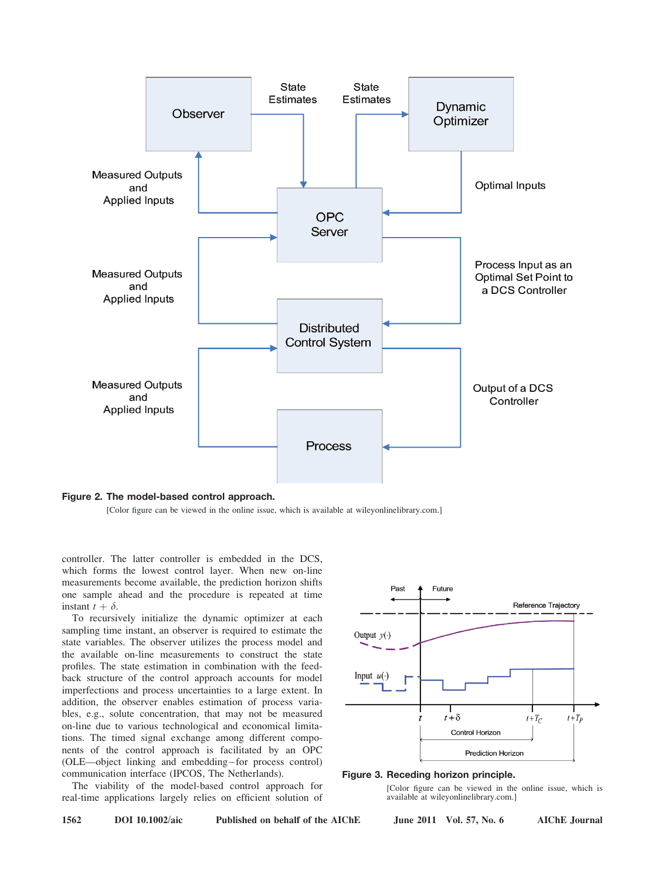

Figure 2. The model-based control approach.

[Color figure can be viewed in the online issue, which is available at wileyonlinelibrary.com.]

controller. The latter controller is embedded in the DCS, which forms the lowest control layer. When new on-line measurements become available, the prediction horizon shifts one sample ahead and the procedure is repeated at time instant  $t + \delta$ .

To recursively initialize the dynamic optimizer at each sampling time instant, an observer is required to estimate the state variables. The observer utilizes the process model and the available on-line measurements to construct the state profiles. The state estimation in combination with the feedback structure of the control approach accounts for model imperfections and process uncertainties to a large extent. In addition, the observer enables estimation of process variables, e.g., solute concentration, that may not be measured on-line due to various technological and economical limitations. The timed signal exchange among different components of the control approach is facilitated by an OPC (OLE—object linking and embedding-for process control) communication interface (IPCOS, The Netherlands).

The viability of the model-based control approach for real-time applications largely relies on efficient solution of



#### Figure 3. Receding horizon principle.

[Color figure can be viewed in the online issue, which is available at wileyonlinelibrary.com.]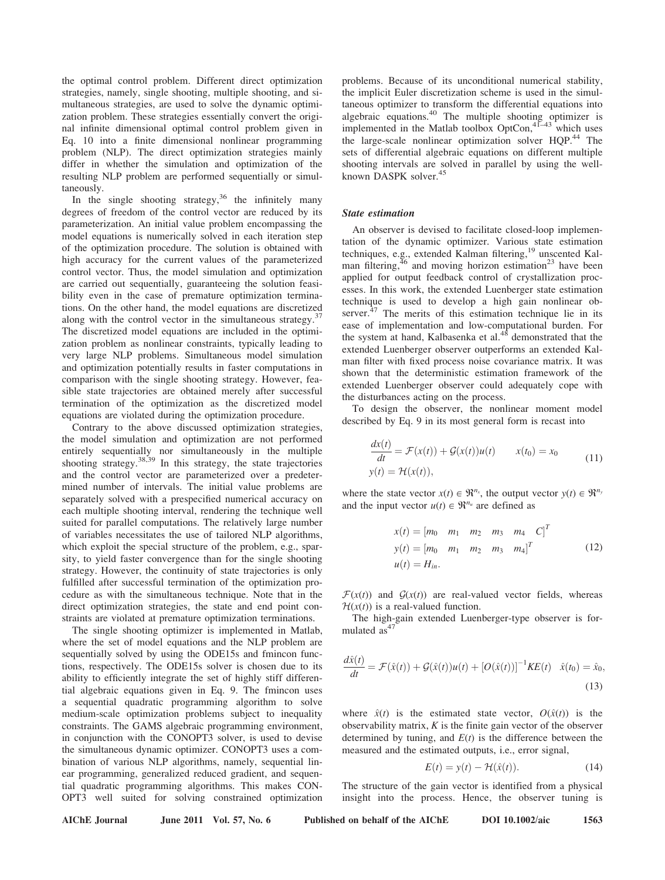the optimal control problem. Different direct optimization strategies, namely, single shooting, multiple shooting, and simultaneous strategies, are used to solve the dynamic optimization problem. These strategies essentially convert the original infinite dimensional optimal control problem given in Eq. 10 into a finite dimensional nonlinear programming problem (NLP). The direct optimization strategies mainly differ in whether the simulation and optimization of the resulting NLP problem are performed sequentially or simultaneously.

In the single shooting strategy,  $36$  the infinitely many degrees of freedom of the control vector are reduced by its parameterization. An initial value problem encompassing the model equations is numerically solved in each iteration step of the optimization procedure. The solution is obtained with high accuracy for the current values of the parameterized control vector. Thus, the model simulation and optimization are carried out sequentially, guaranteeing the solution feasibility even in the case of premature optimization terminations. On the other hand, the model equations are discretized along with the control vector in the simultaneous strategy.<sup>37</sup> The discretized model equations are included in the optimization problem as nonlinear constraints, typically leading to very large NLP problems. Simultaneous model simulation and optimization potentially results in faster computations in comparison with the single shooting strategy. However, feasible state trajectories are obtained merely after successful termination of the optimization as the discretized model equations are violated during the optimization procedure.

Contrary to the above discussed optimization strategies, the model simulation and optimization are not performed entirely sequentially nor simultaneously in the multiple shooting strategy.<sup>38,39</sup> In this strategy, the state trajectories and the control vector are parameterized over a predetermined number of intervals. The initial value problems are separately solved with a prespecified numerical accuracy on each multiple shooting interval, rendering the technique well suited for parallel computations. The relatively large number of variables necessitates the use of tailored NLP algorithms, which exploit the special structure of the problem, e.g., sparsity, to yield faster convergence than for the single shooting strategy. However, the continuity of state trajectories is only fulfilled after successful termination of the optimization procedure as with the simultaneous technique. Note that in the direct optimization strategies, the state and end point constraints are violated at premature optimization terminations.

The single shooting optimizer is implemented in Matlab, where the set of model equations and the NLP problem are sequentially solved by using the ODE15s and fmincon functions, respectively. The ODE15s solver is chosen due to its ability to efficiently integrate the set of highly stiff differential algebraic equations given in Eq. 9. The fmincon uses a sequential quadratic programming algorithm to solve medium-scale optimization problems subject to inequality constraints. The GAMS algebraic programming environment, in conjunction with the CONOPT3 solver, is used to devise the simultaneous dynamic optimizer. CONOPT3 uses a combination of various NLP algorithms, namely, sequential linear programming, generalized reduced gradient, and sequential quadratic programming algorithms. This makes CON-OPT3 well suited for solving constrained optimization

problems. Because of its unconditional numerical stability, the implicit Euler discretization scheme is used in the simultaneous optimizer to transform the differential equations into algebraic equations.<sup>40</sup> The multiple shooting optimizer is implemented in the Matlab toolbox  $OptCon, 41-43$  which uses the large-scale nonlinear optimization solver HQP.<sup>44</sup> The sets of differential algebraic equations on different multiple shooting intervals are solved in parallel by using the wellknown DASPK solver.<sup>45</sup>

#### State estimation

An observer is devised to facilitate closed-loop implementation of the dynamic optimizer. Various state estimation techniques, e.g., extended Kalman filtering,<sup>19</sup> unscented Kalman filtering, $46$  and moving horizon estimation<sup>23</sup> have been applied for output feedback control of crystallization processes. In this work, the extended Luenberger state estimation technique is used to develop a high gain nonlinear observer. $47$  The merits of this estimation technique lie in its ease of implementation and low-computational burden. For the system at hand, Kalbasenka et al. $48$  demonstrated that the extended Luenberger observer outperforms an extended Kalman filter with fixed process noise covariance matrix. It was shown that the deterministic estimation framework of the extended Luenberger observer could adequately cope with the disturbances acting on the process.

To design the observer, the nonlinear moment model described by Eq. 9 in its most general form is recast into

$$
\frac{dx(t)}{dt} = \mathcal{F}(x(t)) + \mathcal{G}(x(t))u(t) \qquad x(t_0) = x_0
$$
\n
$$
y(t) = \mathcal{H}(x(t)), \qquad (11)
$$

where the state vector  $x(t) \in \mathbb{R}^{n_x}$ , the output vector  $y(t) \in \mathbb{R}^{n_y}$ and the input vector  $u(t) \in \mathbb{R}^{n_u}$  are defined as

$$
x(t) = [m_0 \quad m_1 \quad m_2 \quad m_3 \quad m_4 \quad C]^T
$$
  
\n
$$
y(t) = [m_0 \quad m_1 \quad m_2 \quad m_3 \quad m_4]^T
$$
  
\n
$$
u(t) = H_{in}.
$$
\n(12)

 $\mathcal{F}(x(t))$  and  $\mathcal{G}(x(t))$  are real-valued vector fields, whereas  $H(x(t))$  is a real-valued function.

The high-gain extended Luenberger-type observer is formulated  $as<sup>47</sup>$ 

$$
\frac{d\hat{x}(t)}{dt} = \mathcal{F}(\hat{x}(t)) + \mathcal{G}(\hat{x}(t))u(t) + [\mathcal{O}(\hat{x}(t))]^{-1}KE(t) \quad \hat{x}(t_0) = \hat{x}_0,
$$
\n(13)

where  $\hat{x}(t)$  is the estimated state vector,  $O(\hat{x}(t))$  is the observability matrix,  $K$  is the finite gain vector of the observer determined by tuning, and  $E(t)$  is the difference between the measured and the estimated outputs, i.e., error signal,

$$
E(t) = y(t) - \mathcal{H}(\hat{x}(t)).
$$
\n(14)

The structure of the gain vector is identified from a physical insight into the process. Hence, the observer tuning is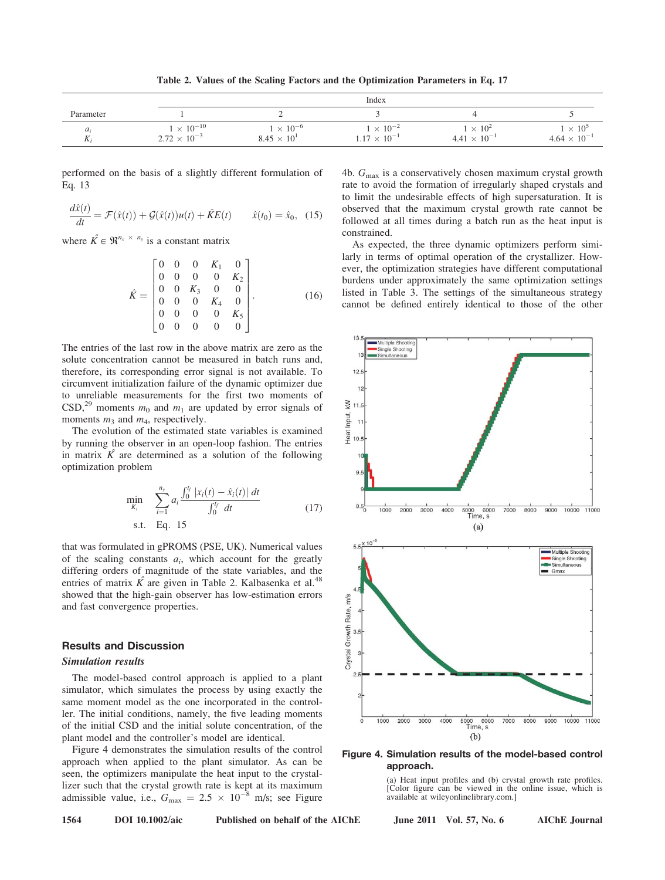|  |  |  |  |  |  | Table 2. Values of the Scaling Factors and the Optimization Parameters in Eq. 17 |  |  |  |  |  |
|--|--|--|--|--|--|----------------------------------------------------------------------------------|--|--|--|--|--|
|--|--|--|--|--|--|----------------------------------------------------------------------------------|--|--|--|--|--|

|                       |                                                                    |                                            | Index                                            |                                                     |                                             |
|-----------------------|--------------------------------------------------------------------|--------------------------------------------|--------------------------------------------------|-----------------------------------------------------|---------------------------------------------|
| Parameter             |                                                                    |                                            |                                                  |                                                     |                                             |
| $a_i$<br>$\mathbf{v}$ | $1 \times 10^{-10}$<br>272<br>$10^{-3}$<br>$\sim$<br>$2.12 \times$ | $1 \times 10^{-6}$<br>$8.45 \times 10^{1}$ | $\times 10^{-2}$<br>1.17<br>$\mu \times 10^{-1}$ | $1 \times 10^2$<br>$10^{-}$<br>$\checkmark$<br>4.41 | $\times 10^5$<br>4.64<br>$10^{-}$<br>$\sim$ |

performed on the basis of a slightly different formulation of Eq. 13

$$
\frac{d\hat{x}(t)}{dt} = \mathcal{F}(\hat{x}(t)) + \mathcal{G}(\hat{x}(t))u(t) + \hat{K}E(t) \qquad \hat{x}(t_0) = \hat{x}_0, \tag{15}
$$

where  $\hat{K} \in \mathbb{R}^{n_x \times n_y}$  is a constant matrix

$$
\hat{K} = \begin{bmatrix}\n0 & 0 & 0 & K_1 & 0 \\
0 & 0 & 0 & 0 & K_2 \\
0 & 0 & K_3 & 0 & 0 \\
0 & 0 & 0 & K_4 & 0 \\
0 & 0 & 0 & 0 & K_5 \\
0 & 0 & 0 & 0 & 0\n\end{bmatrix}.
$$
\n(16)

The entries of the last row in the above matrix are zero as the solute concentration cannot be measured in batch runs and, therefore, its corresponding error signal is not available. To circumvent initialization failure of the dynamic optimizer due to unreliable measurements for the first two moments of  $CSD<sup>29</sup>$  moments  $m_0$  and  $m_1$  are updated by error signals of moments  $m_3$  and  $m_4$ , respectively.

The evolution of the estimated state variables is examined by running the observer in an open-loop fashion. The entries in matrix  $\hat{K}$  are determined as a solution of the following optimization problem

$$
\min_{K_i} \sum_{i=1}^{n_y} a_i \frac{\int_0^{t_f} |x_i(t) - \hat{x}_i(t)| dt}{\int_0^{t_f} dt}
$$
\ns.t.

\n
$$
Eq. 15
$$
\n(17)

that was formulated in gPROMS (PSE, UK). Numerical values of the scaling constants  $a_i$ , which account for the greatly differing orders of magnitude of the state variables, and the entries of matrix  $\hat{K}$  are given in Table 2. Kalbasenka et al.<sup>48</sup> showed that the high-gain observer has low-estimation errors and fast convergence properties.

# Results and Discussion

#### Simulation results

The model-based control approach is applied to a plant simulator, which simulates the process by using exactly the same moment model as the one incorporated in the controller. The initial conditions, namely, the five leading moments of the initial CSD and the initial solute concentration, of the plant model and the controller's model are identical.

Figure 4 demonstrates the simulation results of the control approach when applied to the plant simulator. As can be seen, the optimizers manipulate the heat input to the crystallizer such that the crystal growth rate is kept at its maximum admissible value, i.e.,  $G_{\text{max}} = 2.5 \times 10^{-8}$  m/s; see Figure

1564 DOI 10.1002/aic Published on behalf of the AIChE June 2011 Vol. 57, No. 6 AIChE Journal

4b.  $G_{\text{max}}$  is a conservatively chosen maximum crystal growth rate to avoid the formation of irregularly shaped crystals and to limit the undesirable effects of high supersaturation. It is observed that the maximum crystal growth rate cannot be followed at all times during a batch run as the heat input is constrained.

As expected, the three dynamic optimizers perform similarly in terms of optimal operation of the crystallizer. However, the optimization strategies have different computational burdens under approximately the same optimization settings listed in Table 3. The settings of the simultaneous strategy cannot be defined entirely identical to those of the other



Figure 4. Simulation results of the model-based control approach.

(a) Heat input profiles and (b) crystal growth rate profiles. [Color figure can be viewed in the online issue, which is available at wileyonlinelibrary.com.]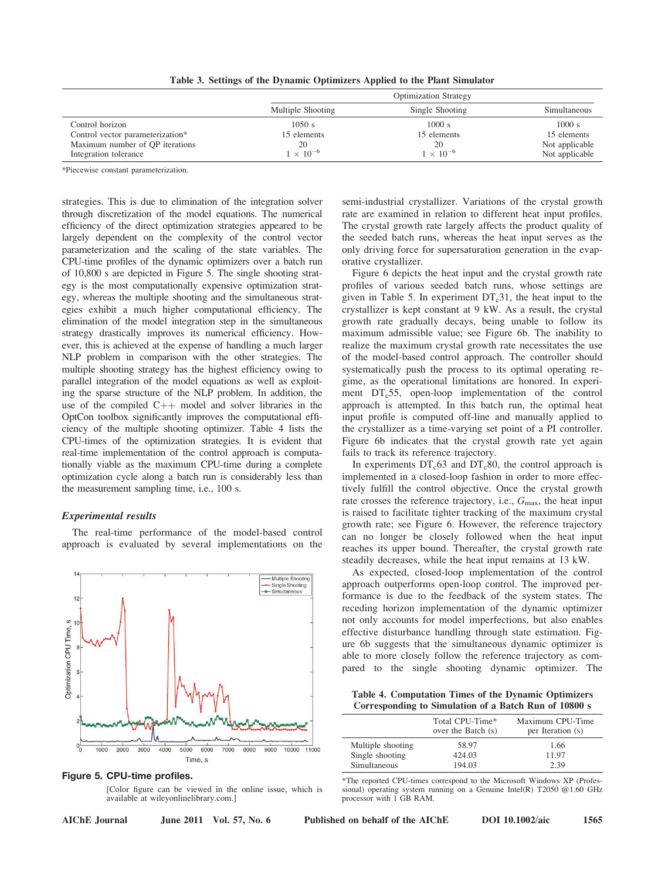Table 3. Settings of the Dynamic Optimizers Applied to the Plant Simulator

|                                  |                    | <b>Optimization Strategy</b> |                |
|----------------------------------|--------------------|------------------------------|----------------|
|                                  | Multiple Shooting  | Single Shooting              | Simultaneous   |
| Control horizon                  | 1050 s             | 1000 s                       | 1000 s         |
| Control vector parameterization* | 15 elements        | 15 elements                  | 15 elements    |
| Maximum number of QP iterations  | 20                 | 20                           | Not applicable |
| Integration tolerance            | $1 \times 10^{-6}$ | $1 \times 10^{-6}$           | Not applicable |

\*Piecewise constant parameterization.

strategies. This is due to elimination of the integration solver through discretization of the model equations. The numerical efficiency of the direct optimization strategies appeared to be largely dependent on the complexity of the control vector parameterization and the scaling of the state variables. The CPU-time profiles of the dynamic optimizers over a batch run of 10,800 s are depicted in Figure 5. The single shooting strategy is the most computationally expensive optimization strategy, whereas the multiple shooting and the simultaneous strategies exhibit a much higher computational efficiency. The elimination of the model integration step in the simultaneous strategy drastically improves its numerical efficiency. However, this is achieved at the expense of handling a much larger NLP problem in comparison with the other strategies. The multiple shooting strategy has the highest efficiency owing to parallel integration of the model equations as well as exploiting the sparse structure of the NLP problem. In addition, the use of the compiled  $C++$  model and solver libraries in the OptCon toolbox significantly improves the computational efficiency of the multiple shooting optimizer. Table 4 lists the CPU-times of the optimization strategies. It is evident that real-time implementation of the control approach is computationally viable as the maximum CPU-time during a complete optimization cycle along a batch run is considerably less than the measurement sampling time, i.e., 100 s.

#### Experimental results

The real-time performance of the model-based control approach is evaluated by several implementations on the



Figure 5. CPU-time profiles.

[Color figure can be viewed in the online issue, which is available at wileyonlinelibrary.com.]

semi-industrial crystallizer. Variations of the crystal growth rate are examined in relation to different heat input profiles. The crystal growth rate largely affects the product quality of the seeded batch runs, whereas the heat input serves as the only driving force for supersaturation generation in the evaporative crystallizer.

Figure 6 depicts the heat input and the crystal growth rate profiles of various seeded batch runs, whose settings are given in Table 5. In experiment  $DT<sub>c</sub>31$ , the heat input to the crystallizer is kept constant at 9 kW. As a result, the crystal growth rate gradually decays, being unable to follow its maximum admissible value; see Figure 6b. The inability to realize the maximum crystal growth rate necessitates the use of the model-based control approach. The controller should systematically push the process to its optimal operating regime, as the operational limitations are honored. In experiment  $DT<sub>c</sub>55$ , open-loop implementation of the control approach is attempted. In this batch run, the optimal heat input profile is computed off-line and manually applied to the crystallizer as a time-varying set point of a PI controller. Figure 6b indicates that the crystal growth rate yet again fails to track its reference trajectory.

In experiments  $DT_c63$  and  $DT_c80$ , the control approach is implemented in a closed-loop fashion in order to more effectively fulfill the control objective. Once the crystal growth rate crosses the reference trajectory, i.e.,  $G_{\text{max}}$ , the heat input is raised to facilitate tighter tracking of the maximum crystal growth rate; see Figure 6. However, the reference trajectory can no longer be closely followed when the heat input reaches its upper bound. Thereafter, the crystal growth rate steadily decreases, while the heat input remains at 13 kW.

As expected, closed-loop implementation of the control approach outperforms open-loop control. The improved performance is due to the feedback of the system states. The receding horizon implementation of the dynamic optimizer not only accounts for model imperfections, but also enables effective disturbance handling through state estimation. Figure 6b suggests that the simultaneous dynamic optimizer is able to more closely follow the reference trajectory as compared to the single shooting dynamic optimizer. The

Table 4. Computation Times of the Dynamic Optimizers Corresponding to Simulation of a Batch Run of 10800 s

|                   | Total CPU-Time*<br>over the Batch (s) | Maximum CPU-Time<br>per Iteration (s) |
|-------------------|---------------------------------------|---------------------------------------|
| Multiple shooting | 58.97                                 | 1.66                                  |
| Single shooting   | 424.03                                | 11.97                                 |
| Simultaneous      | 194.03                                | 2.39                                  |

\*The reported CPU-times correspond to the Microsoft Windows XP (Professional) operating system running on a Genuine Intel(R) T2050 @1.60 GHz processor with 1 GB RAM.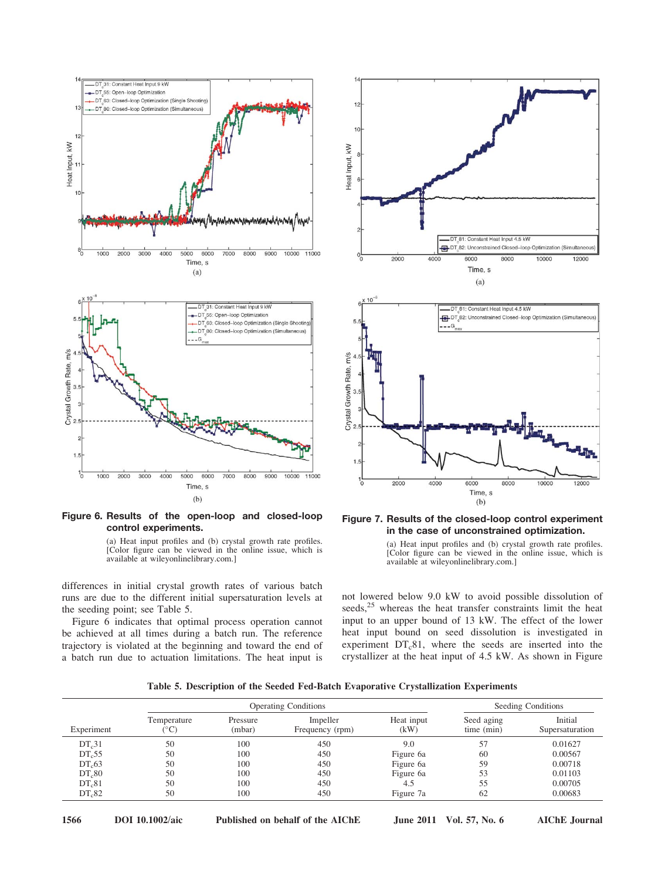

#### Figure 6. Results of the open-loop and closed-loop control experiments.

(a) Heat input profiles and (b) crystal growth rate profiles. [Color figure can be viewed in the online issue, which is available at wileyonlinelibrary.com.]

differences in initial crystal growth rates of various batch runs are due to the different initial supersaturation levels at the seeding point; see Table 5.

Figure 6 indicates that optimal process operation cannot be achieved at all times during a batch run. The reference trajectory is violated at the beginning and toward the end of a batch run due to actuation limitations. The heat input is









not lowered below 9.0 kW to avoid possible dissolution of seeds,<sup>25</sup> whereas the heat transfer constraints limit the heat input to an upper bound of 13 kW. The effect of the lower heat input bound on seed dissolution is investigated in experiment  $DT_c81$ , where the seeds are inserted into the crystallizer at the heat input of 4.5 kW. As shown in Figure

|  |  |  | Table 5. Description of the Seeded Fed-Batch Evaporative Crystallization Experiments |  |
|--|--|--|--------------------------------------------------------------------------------------|--|
|  |  |  |                                                                                      |  |

|            |                                     | <b>Operating Conditions</b> |                             |                    | Seeding Conditions       |                            |
|------------|-------------------------------------|-----------------------------|-----------------------------|--------------------|--------------------------|----------------------------|
| Experiment | Temperature<br>$(^\circ\mathrm{C})$ | Pressure<br>(mbar)          | Impeller<br>Frequency (rpm) | Heat input<br>(kW) | Seed aging<br>time (min) | Initial<br>Supersaturation |
| $DT_c31$   | 50                                  | 100                         | 450                         | 9.0                | 57                       | 0.01627                    |
| $DT_c55$   | 50                                  | 100                         | 450                         | Figure 6a          | 60                       | 0.00567                    |
| $DT_c63$   | 50                                  | 100                         | 450                         | Figure 6a          | 59                       | 0.00718                    |
| $DT_{c}80$ | 50                                  | 100                         | 450                         | Figure 6a          | 53                       | 0.01103                    |
| $DT_c81$   | 50                                  | 100                         | 450                         | 4.5                | 55                       | 0.00705                    |
| $DT_c82$   | 50                                  | 100                         | 450                         | Figure 7a          | 62                       | 0.00683                    |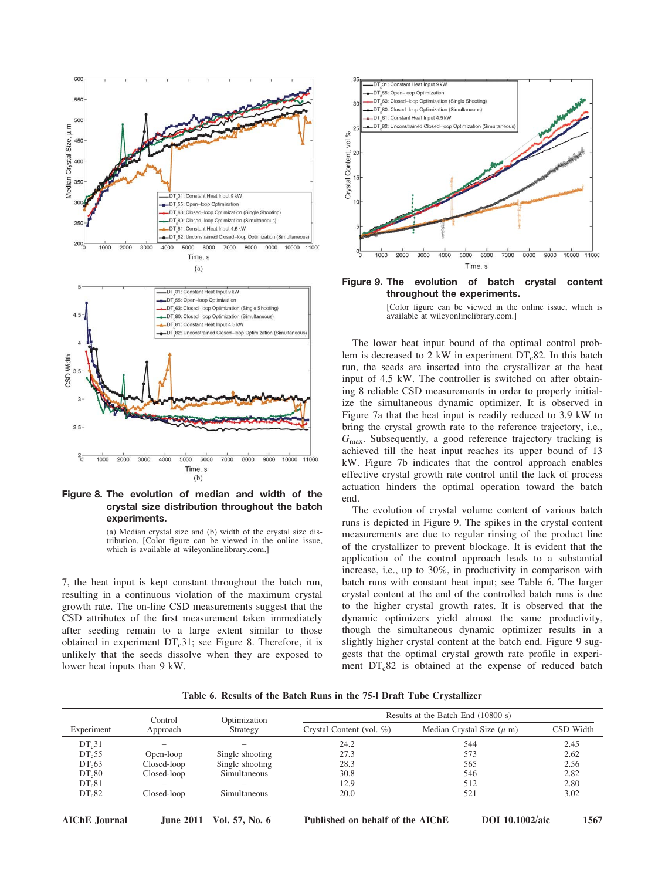

#### Figure 8. The evolution of median and width of the crystal size distribution throughout the batch experiments.

(a) Median crystal size and (b) width of the crystal size distribution. [Color figure can be viewed in the online issue, which is available at wileyonlinelibrary.com.]

7, the heat input is kept constant throughout the batch run, resulting in a continuous violation of the maximum crystal growth rate. The on-line CSD measurements suggest that the CSD attributes of the first measurement taken immediately after seeding remain to a large extent similar to those obtained in experiment  $DT<sub>c</sub>31$ ; see Figure 8. Therefore, it is unlikely that the seeds dissolve when they are exposed to lower heat inputs than 9 kW.



Figure 9. The evolution of batch crystal content throughout the experiments.

[Color figure can be viewed in the online issue, which is available at wileyonlinelibrary.com.]

The lower heat input bound of the optimal control problem is decreased to 2 kW in experiment  $DT<sub>c</sub>82$ . In this batch run, the seeds are inserted into the crystallizer at the heat input of 4.5 kW. The controller is switched on after obtaining 8 reliable CSD measurements in order to properly initialize the simultaneous dynamic optimizer. It is observed in Figure 7a that the heat input is readily reduced to 3.9 kW to bring the crystal growth rate to the reference trajectory, i.e.,  $G<sub>max</sub>$ . Subsequently, a good reference trajectory tracking is achieved till the heat input reaches its upper bound of 13 kW. Figure 7b indicates that the control approach enables effective crystal growth rate control until the lack of process actuation hinders the optimal operation toward the batch end.

The evolution of crystal volume content of various batch runs is depicted in Figure 9. The spikes in the crystal content measurements are due to regular rinsing of the product line of the crystallizer to prevent blockage. It is evident that the application of the control approach leads to a substantial increase, i.e., up to 30%, in productivity in comparison with batch runs with constant heat input; see Table 6. The larger crystal content at the end of the controlled batch runs is due to the higher crystal growth rates. It is observed that the dynamic optimizers yield almost the same productivity, though the simultaneous dynamic optimizer results in a slightly higher crystal content at the batch end. Figure 9 suggests that the optimal crystal growth rate profile in experiment  $DT<sub>c</sub>82$  is obtained at the expense of reduced batch

|  |  |  |  |  |  |  |  |  |  | Table 6. Results of the Batch Runs in the 75-1 Draft Tube Crystallizer |
|--|--|--|--|--|--|--|--|--|--|------------------------------------------------------------------------|
|--|--|--|--|--|--|--|--|--|--|------------------------------------------------------------------------|

|                    | Control     | Optimization        |                              | Results at the Batch End (10800 s) |           |
|--------------------|-------------|---------------------|------------------------------|------------------------------------|-----------|
| Experiment         | Approach    | Strategy            | Crystal Content (vol. $\%$ ) | Median Crystal Size $(\mu m)$      | CSD Width |
| $DT_c31$           |             |                     | 24.2                         | 544                                | 2.45      |
| $DT_c55$           | Open-loop   | Single shooting     | 27.3                         | 573                                | 2.62      |
| $DT_c63$           | Closed-loop | Single shooting     | 28.3                         | 565                                | 2.56      |
| $DT_c80$           | Closed-loop | Simultaneous        | 30.8                         | 546                                | 2.82      |
| $DT_c81$           |             | -                   | 12.9                         | 512                                | 2.80      |
| DT <sub>c</sub> 82 | Closed-loop | <b>Simultaneous</b> | 20.0                         | 521                                | 3.02      |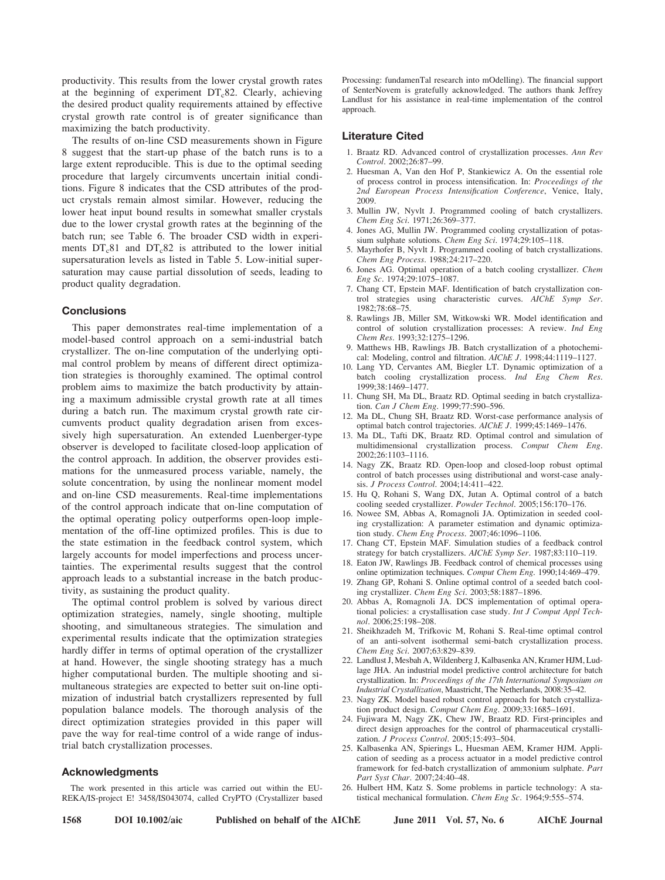productivity. This results from the lower crystal growth rates at the beginning of experiment  $DT<sub>c</sub>82$ . Clearly, achieving the desired product quality requirements attained by effective crystal growth rate control is of greater significance than maximizing the batch productivity.

The results of on-line CSD measurements shown in Figure 8 suggest that the start-up phase of the batch runs is to a large extent reproducible. This is due to the optimal seeding procedure that largely circumvents uncertain initial conditions. Figure 8 indicates that the CSD attributes of the product crystals remain almost similar. However, reducing the lower heat input bound results in somewhat smaller crystals due to the lower crystal growth rates at the beginning of the batch run; see Table 6. The broader CSD width in experiments  $DT_c81$  and  $DT_c82$  is attributed to the lower initial supersaturation levels as listed in Table 5. Low-initial supersaturation may cause partial dissolution of seeds, leading to product quality degradation.

#### **Conclusions**

This paper demonstrates real-time implementation of a model-based control approach on a semi-industrial batch crystallizer. The on-line computation of the underlying optimal control problem by means of different direct optimization strategies is thoroughly examined. The optimal control problem aims to maximize the batch productivity by attaining a maximum admissible crystal growth rate at all times during a batch run. The maximum crystal growth rate circumvents product quality degradation arisen from excessively high supersaturation. An extended Luenberger-type observer is developed to facilitate closed-loop application of the control approach. In addition, the observer provides estimations for the unmeasured process variable, namely, the solute concentration, by using the nonlinear moment model and on-line CSD measurements. Real-time implementations of the control approach indicate that on-line computation of the optimal operating policy outperforms open-loop implementation of the off-line optimized profiles. This is due to the state estimation in the feedback control system, which largely accounts for model imperfections and process uncertainties. The experimental results suggest that the control approach leads to a substantial increase in the batch productivity, as sustaining the product quality.

The optimal control problem is solved by various direct optimization strategies, namely, single shooting, multiple shooting, and simultaneous strategies. The simulation and experimental results indicate that the optimization strategies hardly differ in terms of optimal operation of the crystallizer at hand. However, the single shooting strategy has a much higher computational burden. The multiple shooting and simultaneous strategies are expected to better suit on-line optimization of industrial batch crystallizers represented by full population balance models. The thorough analysis of the direct optimization strategies provided in this paper will pave the way for real-time control of a wide range of industrial batch crystallization processes.

#### Acknowledgments

The work presented in this article was carried out within the EU-REKA/IS-project E! 3458/IS043074, called CryPTO (Crystallizer based Processing: fundamenTal research into mOdelling). The financial support of SenterNovem is gratefully acknowledged. The authors thank Jeffrey Landlust for his assistance in real-time implementation of the control approach.

#### Literature Cited

- 1. Braatz RD. Advanced control of crystallization processes. Ann Rev Control. 2002;26:87–99.
- 2. Huesman A, Van den Hof P, Stankiewicz A. On the essential role of process control in process intensification. In: Proceedings of the 2nd European Process Intensification Conference, Venice, Italy, 2009.
- 3. Mullin JW, Nyvlt J. Programmed cooling of batch crystallizers. Chem Eng Sci. 1971;26:369–377.
- 4. Jones AG, Mullin JW. Programmed cooling crystallization of potassium sulphate solutions. Chem Eng Sci. 1974;29:105-118.
- 5. Mayrhofer B, Nyvlt J. Programmed cooling of batch crystallizations. Chem Eng Process. 1988;24:217–220.
- 6. Jones AG. Optimal operation of a batch cooling crystallizer. Chem Eng Sc. 1974;29:1075–1087.
- 7. Chang CT, Epstein MAF. Identification of batch crystallization control strategies using characteristic curves. AIChE Symp Ser. 1982;78:68–75.
- 8. Rawlings JB, Miller SM, Witkowski WR. Model identification and control of solution crystallization processes: A review. Ind Eng Chem Res. 1993;32:1275–1296.
- 9. Matthews HB, Rawlings JB. Batch crystallization of a photochemical: Modeling, control and filtration. AIChE J. 1998;44:1119–1127.
- 10. Lang YD, Cervantes AM, Biegler LT. Dynamic optimization of a batch cooling crystallization process. Ind Eng Chem Res. 1999;38:1469–1477.
- 11. Chung SH, Ma DL, Braatz RD. Optimal seeding in batch crystallization. Can J Chem Eng. 1999;77:590–596.
- 12. Ma DL, Chung SH, Braatz RD. Worst-case performance analysis of optimal batch control trajectories. AIChE J. 1999;45:1469–1476.
- 13. Ma DL, Tafti DK, Braatz RD. Optimal control and simulation of multidimensional crystallization process. Comput Chem Eng. 2002;26:1103–1116.
- 14. Nagy ZK, Braatz RD. Open-loop and closed-loop robust optimal control of batch processes using distributional and worst-case analysis. J Process Control. 2004;14:411–422.
- 15. Hu Q, Rohani S, Wang DX, Jutan A. Optimal control of a batch cooling seeded crystallizer. Powder Technol. 2005;156:170–176.
- 16. Nowee SM, Abbas A, Romagnoli JA. Optimization in seeded cooling crystallization: A parameter estimation and dynamic optimization study. Chem Eng Process. 2007;46:1096–1106.
- 17. Chang CT, Epstein MAF. Simulation studies of a feedback control strategy for batch crystallizers. AIChE Symp Ser. 1987;83:110–119.
- 18. Eaton JW, Rawlings JB. Feedback control of chemical processes using online optimization techniques. Comput Chem Eng. 1990;14:469–479.
- 19. Zhang GP, Rohani S. Online optimal control of a seeded batch cooling crystallizer. Chem Eng Sci. 2003;58:1887–1896.
- 20. Abbas A, Romagnoli JA. DCS implementation of optimal operational policies: a crystallisation case study. Int J Comput Appl Technol. 2006;25:198–208.
- 21. Sheikhzadeh M, Trifkovic M, Rohani S. Real-time optimal control of an anti-solvent isothermal semi-batch crystallization process. Chem Eng Sci. 2007;63:829–839.
- 22. Landlust J, Mesbah A, Wildenberg J, Kalbasenka AN, Kramer HJM, Ludlage JHA. An industrial model predictive control architecture for batch crystallization. In: Proceedings of the 17th International Symposium on Industrial Crystallization, Maastricht, The Netherlands, 2008:35–42.
- 23. Nagy ZK. Model based robust control approach for batch crystallization product design. Comput Chem Eng. 2009;33:1685-1691.
- 24. Fujiwara M, Nagy ZK, Chew JW, Braatz RD. First-principles and direct design approaches for the control of pharmaceutical crystallization. J Process Control. 2005;15:493–504.
- 25. Kalbasenka AN, Spierings L, Huesman AEM, Kramer HJM. Application of seeding as a process actuator in a model predictive control framework for fed-batch crystallization of ammonium sulphate. Part Part Syst Char. 2007;24:40–48.
- 26. Hulbert HM, Katz S. Some problems in particle technology: A statistical mechanical formulation. Chem Eng Sc. 1964;9:555–574.